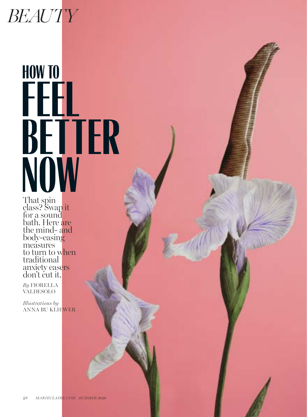# *BEAUTY*

# HOW TO FEEL BETTER NOW<sub>That many</sub>

That spin class? Swap it for a sound bath. Here are the mind- and body-easing measures to turn to when traditional anxiety easers don't cut it.

*By* FIORELLA VALDESOLO

*Illustrations by*  ANNA BU KLIEWER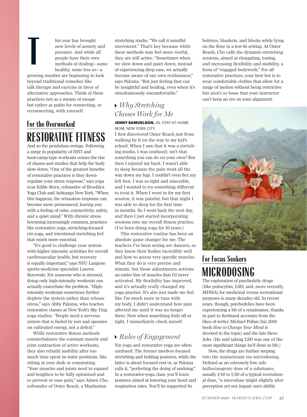his year has brought<br>new levels of anxiety<br>pressure. And while a<br>people have their own<br>methods of dealing—<br>healthy some less sonew levels of anxiety and pressure. And while all people have their own methods of dealing—some healthy, some less so—a

growing number are beginning to look beyond traditional remedies like talk therapy and exercise in favor of alternative approaches. Think of these practices not as a means of escape but rather as paths for connecting, or reconnecting, with yourself.

## For the Overworked RESTORATIVE FITNESS

And so the pendulum swings. Following a surge in popularity of HIIT and boot-camp-type workouts comes the rise of classes and studios that help the body slow down. "One of the greatest benefits of restorative practices is they downregulate your stress response," says yoga icon Eddie Stern, cofounder of Brooklyn Yoga Club and Ashtanga New York. "When this happens, the relaxation response can become more pronounced, leaving you with a feeling of calm, connectivity, safety, and a quiet mind." With chronic stress becoming increasingly common, practices like restorative yoga, stretching-focused yin yoga, and intentional stretching feel that much more essential.

"It's good to challenge your system with higher intensity activities for overall cardiovascular health, but recovery is equally important," says NYU Langone sports-medicine specialist Lauren Borowski. For someone who is stressed, doing only high-intensity workouts can actually exacerbate the problem. "Highintensity workouts sometimes further deplete the system rather than release stress," says Abby Paloma, who teaches restorative classes at New York's Sky Ting yoga studios. "People need a nervous system that is fueled by rest and operates on cultivated energy, not a deficit."

While restorative fitness methods counterbalance the constant muscle and joint contraction of active workouts, they also rebuild mobility after too much time spent in static positions, like sitting at your desk or commuting. "Your muscles and joints need to expand and lengthen to be fully optimized and to prevent or ease pain," says Aimee Cho, cofounder of Outer Reach, a Manhattan

stretching studio. "We call it mindful movement." That's key because while these methods may feel more restful, they are still active. "Sometimes when we slow down and quiet down, instead of experiencing deep ease, we actually become aware of our own restlessness," says Paloma. "But just feeling that can be insightful and healing, even when it's simultaneously uncomfortable."

## *Why Stretching Classes Work for Me*

JENNY SAMUELSON, 45, STAY-AT-HOME MOM, NEW YORK CITY

I first discovered Outer Reach just from walking by it on the way to my kid's school. When I saw that it was a stretching studio, I was confused; isn't that something you can do on your own? But then I injured my back. I wasn't able to sleep because the pain went all the way down my legs. I couldn't even flex my left foot. I was so tight and miserable, and I wanted to try something different to treat it. When I went in for my first session, it was painful, but that night I was able to sleep for the first time in months. So I went back the next day, and then I just started incorporating sessions into my overall fitness practice. (I've been doing yoga for 10 years.)

This restorative routine has been an absolute game changer for me. The teachers I've been seeing are dancers, so they know their bodies incredibly well and how to access very specific muscles. What they do is very precise and minute, but those adjustments activate an entire line of muscles that I'd never activated. My flexibility has improved, and it's actually really changed my yoga practice. It's also just made me feel like I'm much more in tune with my body. I didn't understand how pain affected me until it was no longer there. Now when something feels off or tight, I immediately check myself.

## *Rules of Engagement*

Yin yoga and restorative yoga are often confused. The former involves focused stretching and holding postures, while the latter is about focused rest or, as Paloma calls it, "perfecting the doing of undoing." In a restorative-yoga class, you'll learn postures aimed at lowering your heart and respiration rates. You'll be supported by

bolsters, blankets, and blocks while lying on the floor in a low-lit setting. At Outer Reach, Cho calls the dynamic-stretching sessions, aimed at elongating, toning, and increasing flexibility and mobility, a form of "engaged bodywork." For all restorative practices, your best bet is to wear comfortable clothes that allow for a range of motion without being restrictive but aren't so loose that your instructor can't keep an eye on your alignment.



## For Focus Seekers MICRODOSING

The exploration of psychedelic drugs (like psilocybin, LSD, and, more recently, MDMA) for medicinal versus recreational purposes is many decades old. In recent years, though, psychedelics have been experiencing a bit of a renaissance, thanks in part to firsthand accounts from the likes of writer Michael Pollan (his 2018 book *How to Change Your Mind* is devoted to the topic) and the late Steve Jobs. (He said taking LSD was one of the most significant things he'd done in life.)

Now, the drugs are further seeping into the mainstream via microdosing. Defined as an extremely low, subhallucinogenic dose of a substance, usually 1/10 to 1/20 of a typical recreational dose, "a microdose might slightly alter perception yet not impair one's ability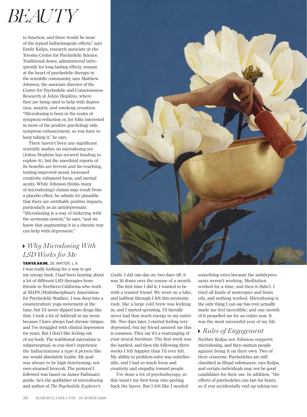## *BEAUTY*

to function, and there would be none of the typical hallucinogenic effects," says Emily Kulpa, research associate at the Toronto Centre for Psychedelic Science. Traditional doses, administered infrequently for long-lasting effects, remain at the heart of psychedelic therapy in the scientific community, says Matthew Johnson, the associate director of the Center for Psychedelic and Consciousness Research at Johns Hopkins, where they are being used to help with depression, anxiety, and smoking cessation. "Microdosing is born in the realm of symptom reduction or, for folks interested in more of the positive psychology side, symptom enhancement, so you have to keep taking it," he says.

There haven't been any significant scientific studies on microdosing yet (Johns Hopkins has secured funding to explore it), but the anecdotal reports of its benefits are fervent and far-reaching, touting improved mood, increased creativity, enhanced focus, and mental acuity. While Johnson thinks many of microdosing's claims may result from a placebo effect, he admits it's plausible that there are certifiable positive impacts, particularly as an antidepressant. "Microdosing is a way of tinkering with the serotonin system," he says, "and we know that augmenting it in a chronic way can help with depression."

## *Why Microdosing With LSD Works for Me*

TANYA AKIM, 29, WRITER, L.A. I was really looking for a way to get my energy back. I had been hearing about a lot of different LSD therapies from friends in Northern California who work at MAPS (Multidisciplinary Association for Psychedelic Studies). I was deep into a counterculture yoga movement at the time, but I'd never dipped into drugs like that. I took a lot of Adderall in my teens because I have always had chronic fatigue, and I've struggled with clinical depression for years. But I don't like feeling out of my body. The traditional microdose is subperceptual, so you don't experience the hallucinations a type-A person like me would absolutely loathe. My goal was always to be high functioning, not over-steamed broccoli. The protocol I followed was based on James Fadiman's guide; he's the godfather of microdosing and author of *The Psychedelic Explorer's* 



*Guide.* I did one day on, two days off; it was 10 doses over the course of a month.

The first time I did it, I wanted to be with a trusted friend. We went on a hike, and halfway through I felt this serotonin rush, like a large cold brew was kicking in, and I started sprinting. I'd literally never had that much energy in my entire life. Two days later, I started feeling very depressed, but my friend assured me this is common. They say it's a rearranging of your neural furniture. The first week was the hardest, and then the following three weeks I felt happier than I'd ever felt. My ability to problem-solve was unbelievable, and I had so much focus and creativity and empathy toward people.

I've done a lot of psychotherapy, so this wasn't my first foray into peeling back the layers. But I felt like I needed

something extra because the antidepressants weren't working. Meditation worked for a time, and then it didn't. I tried all kinds of nootropics and brain oils, and nothing worked. Microdosing is the only thing I can say has ever actually made me feel incredible, and one month of it propelled me for an entire year. It was the most successful year of my life.

## *Rules of Engagement*

Neither Kulpa nor Johnson supports microdosing, and they caution people against doing it on their own. Two of their concerns: Psychedelics are still classified as illegal substances, says Kulpa, and certain individuals may not be good candidates for their use. In addition, "the effects of psychedelics can last for hours, so if you accidentally end up taking too